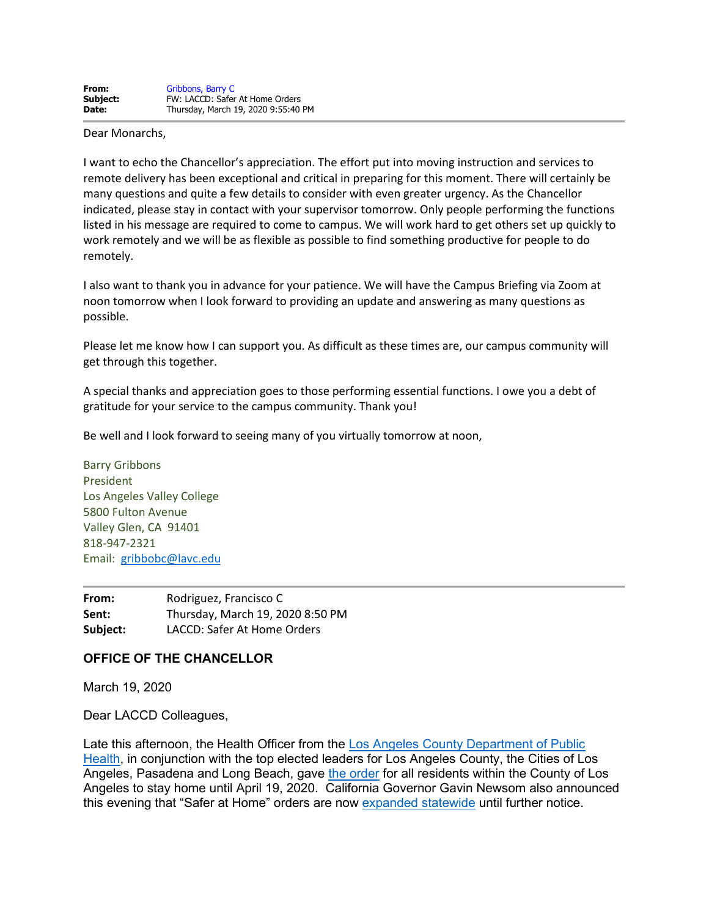Dear Monarchs,

I want to echo the Chancellor's appreciation. The effort put into moving instruction and services to remote delivery has been exceptional and critical in preparing for this moment. There will certainly be many questions and quite a few details to consider with even greater urgency. As the Chancellor indicated, please stay in contact with your supervisor tomorrow. Only people performing the functions listed in his message are required to come to campus. We will work hard to get others set up quickly to work remotely and we will be as flexible as possible to find something productive for people to do remotely.

I also want to thank you in advance for your patience. We will have the Campus Briefing via Zoom at noon tomorrow when I look forward to providing an update and answering as many questions as possible.

Please let me know how I can support you. As difficult as these times are, our campus community will get through this together.

A special thanks and appreciation goes to those performing essential functions. I owe you a debt of gratitude for your service to the campus community. Thank you!

Be well and I look forward to seeing many of you virtually tomorrow at noon,

Barry Gribbons President Los Angeles Valley College 5800 Fulton Avenue Valley Glen, CA 91401 818-947-2321 Email: [gribbobc@lavc.edu](mailto:gribbobc@lavc.edu)

**From:** Rodriguez, Francisco C **Sent:** Thursday, March 19, 2020 8:50 PM **Subject:** LACCD: Safer At Home Orders

## **OFFICE OF THE CHANCELLOR**

March 19, 2020

Dear LACCD Colleagues,

Late this afternoon, the Health Officer from the [Los Angeles County Department of Public](http://publichealth.lacounty.gov/media/Coronavirus/)  [Health,](http://publichealth.lacounty.gov/media/Coronavirus/) in conjunction with the top elected leaders for Los Angeles County, the Cities of Los Angeles, Pasadena and Long Beach, gave [the order](http://laccd.edu/Documents/NewsDocuments/COVID19%20SaferAtHome%20HealthOfficerOrder%2020200319%20Signed.pdf) for all residents within the County of Los Angeles to stay home until April 19, 2020. California Governor Gavin Newsom also announced this evening that "Safer at Home" orders are now [expanded statewide](https://covid19.ca.gov/img/N-33-20.pdf) until further notice.